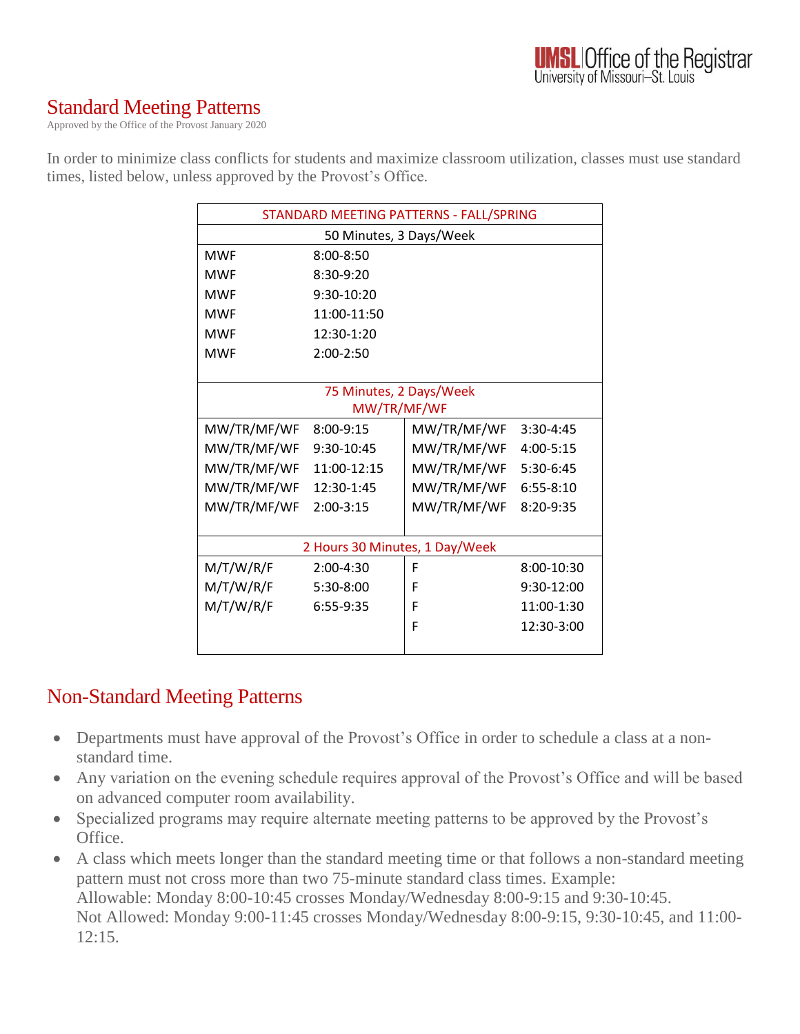## Standard Meeting Patterns

Approved by the Office of the Provost January 2020

In order to minimize class conflicts for students and maximize classroom utilization, classes must use standard times, listed below, unless approved by the Provost's Office.

| STANDARD MEETING PATTERNS - FALL/SPRING |               |             |               |
|-----------------------------------------|---------------|-------------|---------------|
| 50 Minutes, 3 Days/Week                 |               |             |               |
| <b>MWF</b>                              | $8:00 - 8:50$ |             |               |
| <b>MWF</b>                              | $8:30-9:20$   |             |               |
| <b>MWF</b>                              | 9:30-10:20    |             |               |
| <b>MWF</b>                              | 11:00-11:50   |             |               |
| <b>MWF</b>                              | $12:30-1:20$  |             |               |
| <b>MWF</b>                              | $2:00-2:50$   |             |               |
|                                         |               |             |               |
| 75 Minutes, 2 Days/Week                 |               |             |               |
| MW/TR/MF/WF                             |               |             |               |
| MW/TR/MF/WF                             | 8:00-9:15     | MW/TR/MF/WF | $3:30-4:45$   |
| MW/TR/MF/WF                             | 9:30-10:45    | MW/TR/MF/WF | 4:00-5:15     |
| MW/TR/MF/WF                             | 11:00-12:15   | MW/TR/MF/WF | 5:30-6:45     |
| MW/TR/MF/WF                             | 12:30-1:45    | MW/TR/MF/WF | $6:55 - 8:10$ |
| MW/TR/MF/WF                             | $2:00-3:15$   | MW/TR/MF/WF | 8:20-9:35     |
|                                         |               |             |               |
| 2 Hours 30 Minutes, 1 Day/Week          |               |             |               |
| M/T/W/R/F                               | $2:00-4:30$   | F           | 8:00-10:30    |
| M/T/W/R/F                               | 5:30-8:00     | F           | 9:30-12:00    |
| M/T/W/R/F                               | 6:55-9:35     | F           | 11:00-1:30    |
|                                         |               | F           | 12:30-3:00    |
|                                         |               |             |               |

### Non-Standard Meeting Patterns

- Departments must have approval of the Provost's Office in order to schedule a class at a nonstandard time.
- Any variation on the evening schedule requires approval of the Provost's Office and will be based on advanced computer room availability.
- Specialized programs may require alternate meeting patterns to be approved by the Provost's Office.
- A class which meets longer than the standard meeting time or that follows a non-standard meeting pattern must not cross more than two 75-minute standard class times. Example: Allowable: Monday 8:00-10:45 crosses Monday/Wednesday 8:00-9:15 and 9:30-10:45. Not Allowed: Monday 9:00-11:45 crosses Monday/Wednesday 8:00-9:15, 9:30-10:45, and 11:00- 12:15.